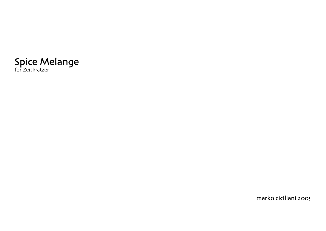

marko ciciliani 2005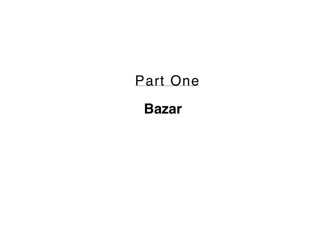## Part One

**Bazar**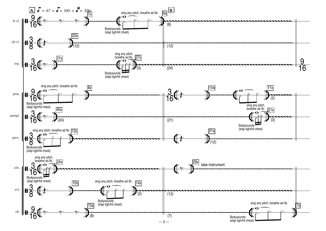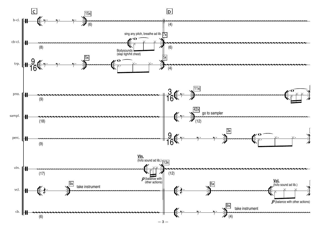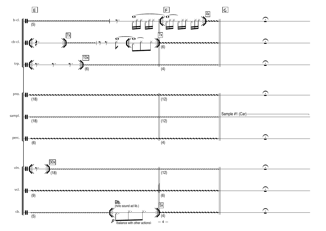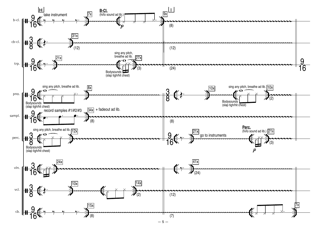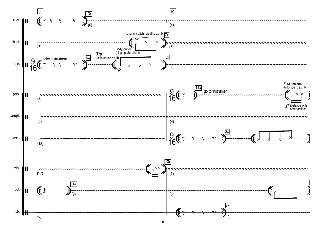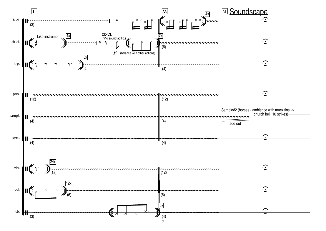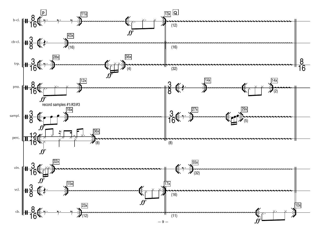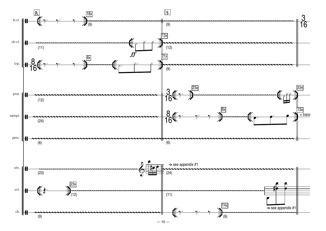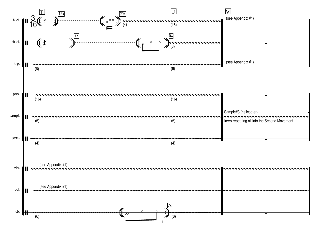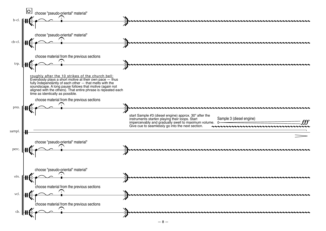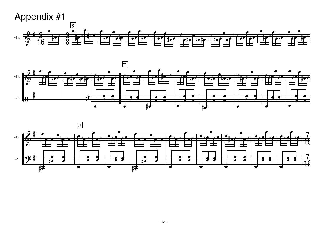



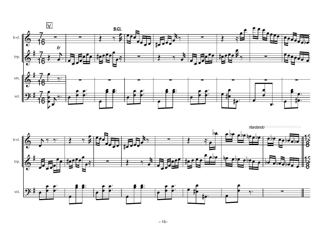

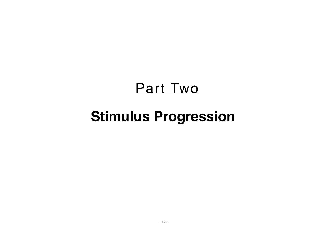## Part Two

## **Stimulus Progression**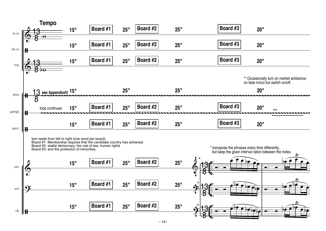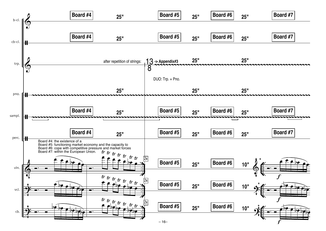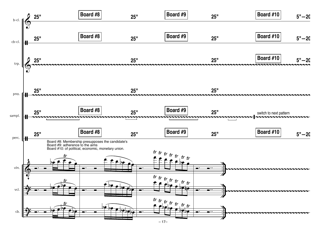